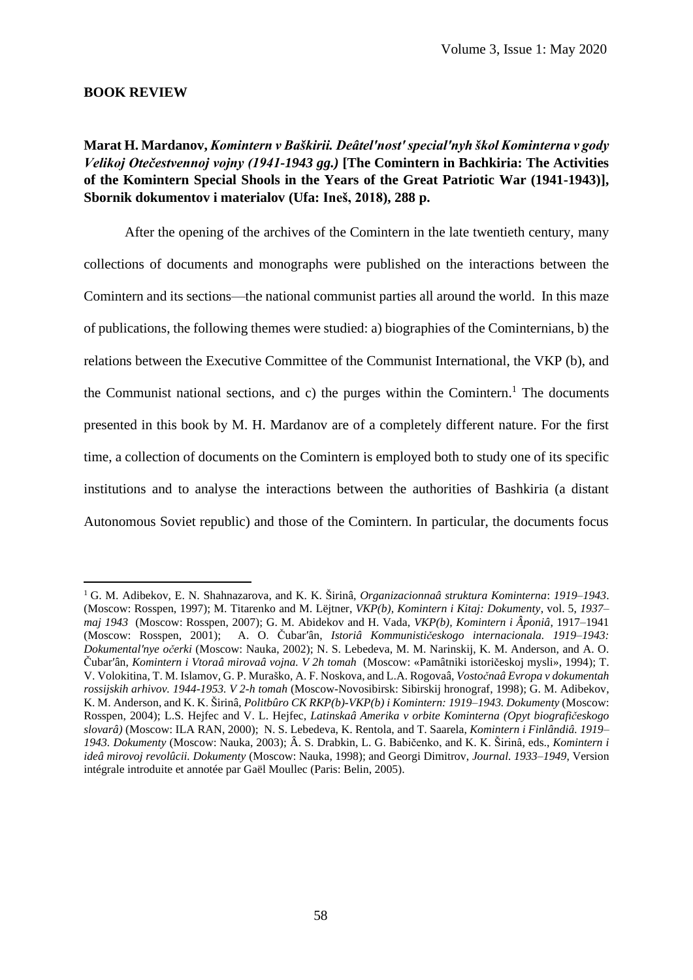## **BOOK REVIEW**

**Marat H. Mardanov,** *Komintern v Baškirii. Deâtelʹnostʹ specialʹnyh škol Kominterna v gody Velikoj Otečestvennoj vojny (1941-1943 gg.)* **[The Comintern in Bachkiria: The Activities of the Komintern Special Shools in the Years of the Great Patriotic War (1941-1943)], Sbornik dokumentov i materialov (Ufa: Ineš, 2018), 288 p.**

After the opening of the archives of the Comintern in the late twentieth century, many collections of documents and monographs were published on the interactions between the Comintern and its sections—the national communist parties all around the world. In this maze of publications, the following themes were studied: a) biographies of the Cominternians, b) the relations between the Executive Committee of the Communist International, the VKP (b), and the Communist national sections, and c) the purges within the Comintern. <sup>1</sup> The documents presented in this book by М. H. Mardanov are of a completely different nature. For the first time, a collection of documents on the Comintern is employed both to study one of its specific institutions and to analyse the interactions between the authorities of Bashkiria (a distant Autonomous Soviet republic) and those of the Comintern. In particular, the documents focus

<sup>1</sup> G. M. Adibekov, E. N. Shahnazarova, and K. K. Širinâ, *Organizacionnaâ struktura Kominterna*: *1919–1943*. (Moscow: Rosspen, 1997); M. Titarenko and M. Lëjtner, *VKP(b), Komintern i Kitaj: Dokumenty*, vol. 5, *1937– maj 1943* (Moscow: Rosspen, 2007); G. M. Abidekov and H. Vada, *VKP(b), Komintern i Âponiâ*, 1917–1941 (Moscow: Rosspen, 2001); A. O. Čubarʹân, *Istoriâ Kommunističeskogo internacionala. 1919–1943: Dokumentalʹnye očerki* (Moscow: Nauka, 2002); N. S. Lebedeva, M. M. Narinskij, K. M. Anderson, and A. O. Čubarʹân, *Komintern i Vtoraâ mirovaâ vojna. V 2h tomah* (Moscow: «Pamâtniki istoričeskoj mysli», 1994); T. V. Volokitina, T. M. Islamov, G. P. Muraško, A. F. Noskova, and L.A. Rogovaâ, *Vostočnaâ Evropa v dokumentah rossijskih arhivov. 1944-1953. V 2-h tomah* (Moscow-Novosibirsk: Sibirskij hronograf, 1998); G. M. Adibekov, K. M. Anderson, and K. K. Širinâ, *Politbûro CK RKP(b)-VKP(b) i Komintern: 1919–1943. Dokumenty* (Moscow: Rosspen, 2004); L.S. Hejfec and V. L. Hejfec, *Latinskaâ Amerika v orbite Kominterna (Opyt biografičeskogo slovarâ)* (Moscow: ILA RAN, 2000); N. S. Lebedeva, K. Rentola, and T. Saarela, *Komintern i Finlândiâ. 1919– 1943. Dokumenty* (Moscow: Nauka, 2003); Â. S. Drabkin, L. G. Babičenko, and K. K. Širinâ, eds., *Komintern i ideâ mirovoj revolûcii. Dokumenty* (Moscow: Nauka, 1998); and Georgi Dimitrov, *Journal. 1933–1949*, Version intégrale introduite et annotée par Gaël Moullec (Paris: Belin, 2005).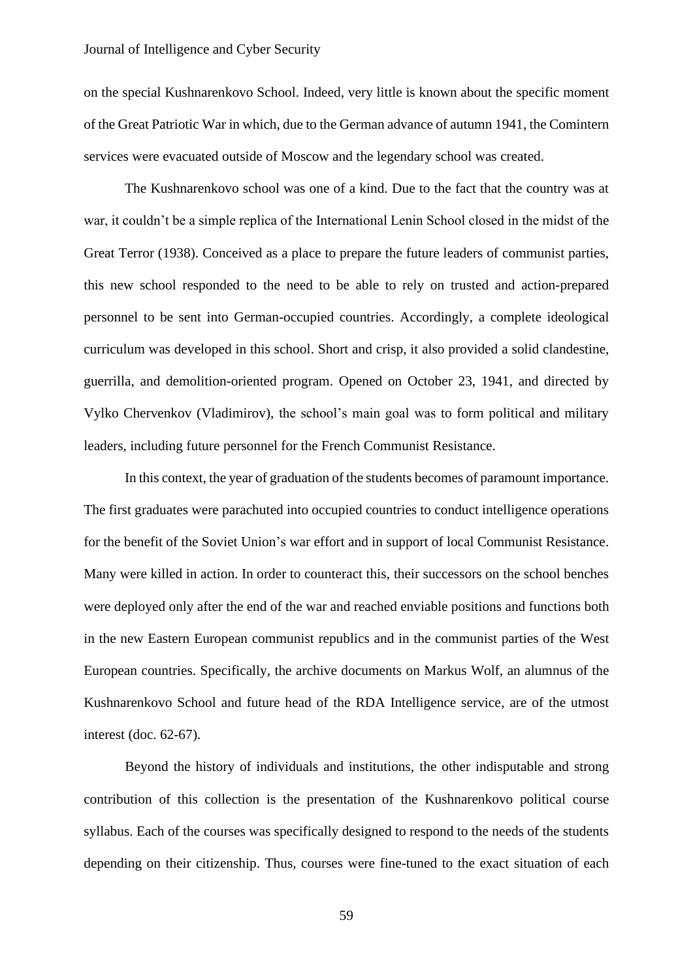## Journal of Intelligence and Cyber Security

on the special Kushnarenkovo School. Indeed, very little is known about the specific moment of the Great Patriotic War in which, due to the German advance of autumn 1941, the Comintern services were evacuated outside of Moscow and the legendary school was created.

The Kushnarenkovo school was one of a kind. Due to the fact that the country was at war, it couldn't be a simple replica of the International Lenin School closed in the midst of the Great Terror (1938). Conceived as a place to prepare the future leaders of communist parties, this new school responded to the need to be able to rely on trusted and action-prepared personnel to be sent into German-occupied countries. Accordingly, a complete ideological curriculum was developed in this school. Short and crisp, it also provided a solid clandestine, guerrilla, and demolition-oriented program. Opened on October 23, 1941, and directed by Vylko Chervenkov (Vladimirov), the school's main goal was to form political and military leaders, including future personnel for the French Communist Resistance.

In this context, the year of graduation of the students becomes of paramount importance. The first graduates were parachuted into occupied countries to conduct intelligence operations for the benefit of the Soviet Union's war effort and in support of local Communist Resistance. Many were killed in action. In order to counteract this, their successors on the school benches were deployed only after the end of the war and reached enviable positions and functions both in the new Eastern European communist republics and in the communist parties of the West European countries. Specifically, the archive documents on Markus Wolf, an alumnus of the Kushnarenkovo School and future head of the RDA Intelligence service, are of the utmost interest (doc. 62-67).

Beyond the history of individuals and institutions, the other indisputable and strong contribution of this collection is the presentation of the Kushnarenkovo political course syllabus. Each of the courses was specifically designed to respond to the needs of the students depending on their citizenship. Thus, courses were fine-tuned to the exact situation of each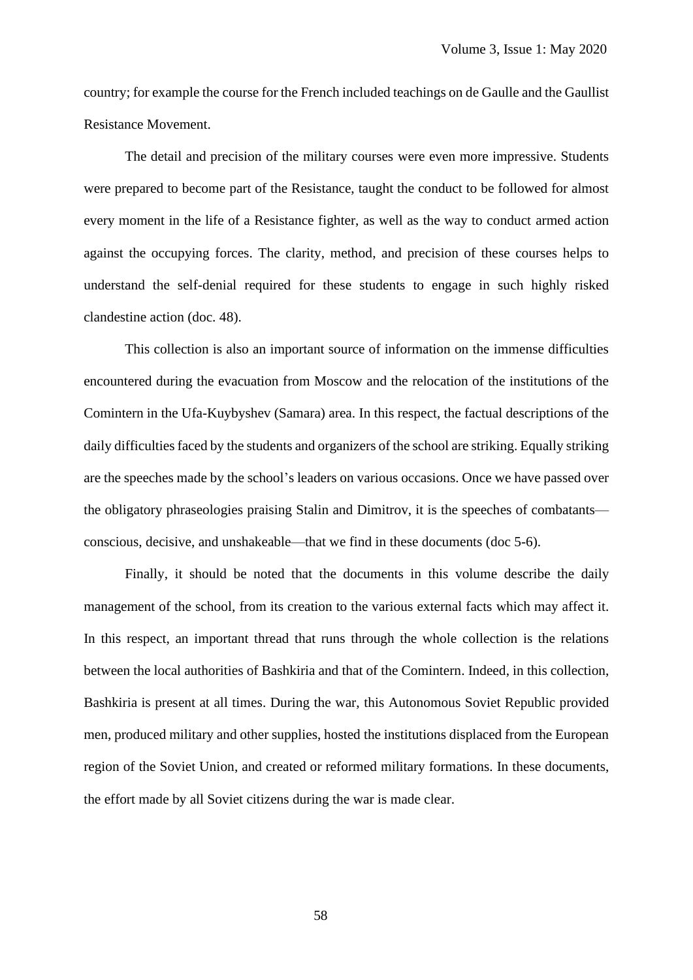country; for example the course for the French included teachings on de Gaulle and the Gaullist Resistance Movement.

The detail and precision of the military courses were even more impressive. Students were prepared to become part of the Resistance, taught the conduct to be followed for almost every moment in the life of a Resistance fighter, as well as the way to conduct armed action against the occupying forces. The clarity, method, and precision of these courses helps to understand the self-denial required for these students to engage in such highly risked clandestine action (doc. 48).

This collection is also an important source of information on the immense difficulties encountered during the evacuation from Moscow and the relocation of the institutions of the Comintern in the Ufa-Kuybyshev (Samara) area. In this respect, the factual descriptions of the daily difficulties faced by the students and organizers of the school are striking. Equally striking are the speeches made by the school's leaders on various occasions. Once we have passed over the obligatory phraseologies praising Stalin and Dimitrov, it is the speeches of combatants conscious, decisive, and unshakeable—that we find in these documents (doc 5-6).

Finally, it should be noted that the documents in this volume describe the daily management of the school, from its creation to the various external facts which may affect it. In this respect, an important thread that runs through the whole collection is the relations between the local authorities of Bashkiria and that of the Comintern. Indeed, in this collection, Bashkiria is present at all times. During the war, this Autonomous Soviet Republic provided men, produced military and other supplies, hosted the institutions displaced from the European region of the Soviet Union, and created or reformed military formations. In these documents, the effort made by all Soviet citizens during the war is made clear.

58